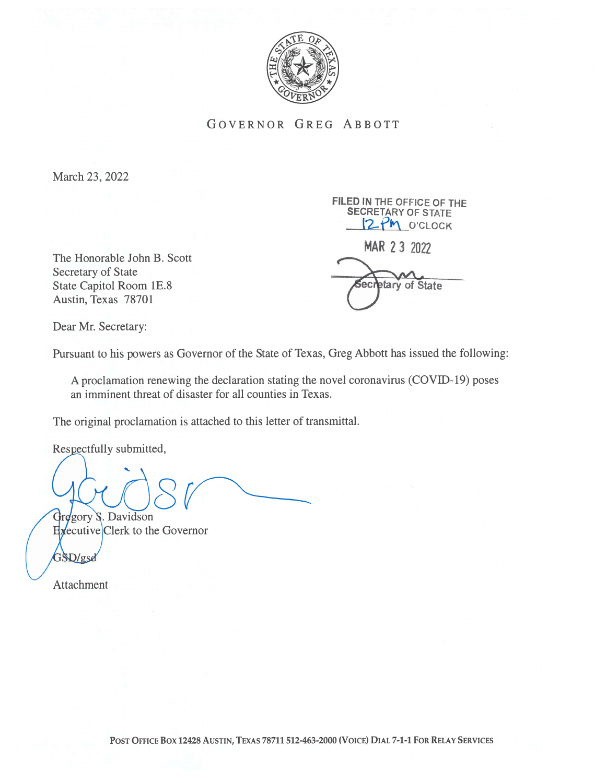

GOVERNOR GREG ABBOTT

March 23, 2022

The Honorable John B. Scott Secretary of State State Capitol Room 1E.8 experience of State Capitol Room 1E.8 Austin, Texas 78701

FILED IN THE OFFICE OF THE SECRETARY OF STATE \_\_i2-fl\_O'cLOCK MAR 23 2022

Dear Mr. Secretary:

Pursuant to his powers as Governor of the State of Texas, Greg Abbott has issued the following:

A proclamation renewing the declaration stating the novel coronavirus (COVID- 19) poses an imminent threat of disaster for all counties in Texas.

The original proclamation is attached to this letter of transmittal.

Respectfully submitted,

Gregory S. Davidson

Hyecutive Clerk to the Governor

GSD/gsd

Attachment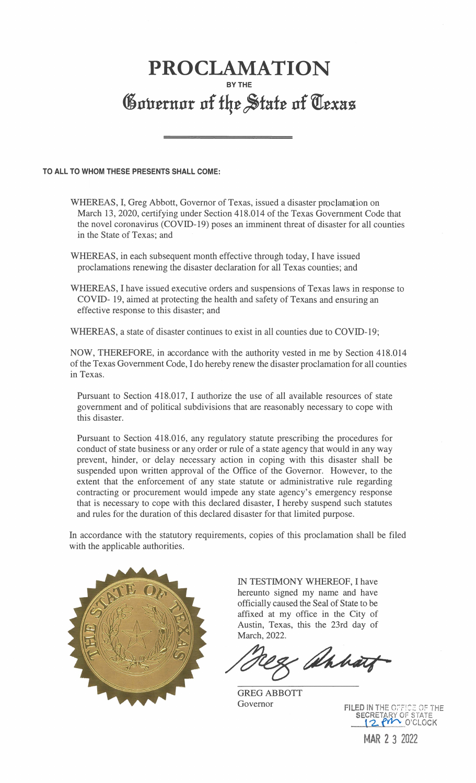## PROCLAMATION BY THE Governor of the State of Texas

TO ALL TO WHOM THESE PRESENTS SHALL COME:

- WHEREAS, I, Greg Abbott, Governor of Texas, issued a disaster proclamation on March 13, 2020, certifying under Section 418.014 of the Texas Government Code that the novel coronavirus (COVID-19) poses an imminent threat of disaster for all counties in the State of Texas; and
- WHEREAS, in each subsequent month effective through today, I have issued proclamations renewing the disaster declaration for all Texas counties; and
- WHEREAS, I have issued executive orders and suspensions of Texas laws in response to COVID- 19, aimed at protecting the health and safety of Texans and ensuring an effective response to this disaster; and

WHEREAS, a state of disaster continues to exist in all counties due to COVID-19;

NOW, THEREFORE, in accordance with the authority vested in me by Section 4 18.014 of the Texas Government Code, I do hereby renew the disaster proclamation for all counties in Texas.

Pursuant to Section 418.017, I authorize the use of all available resources of state government and of political subdivisions that are reasonably necessary to cope with this disaster.

Pursuant to Section 418.016, any regulatory statute prescribing the procedures for conduct of state business or any order or rule of a state agency that would in any way prevent, hinder, or delay necessary action in coping with this disaster shall be suspended upon written approval of the Office of the Governor. However, to the extent that the enforcement of any state statute or administrative rule regarding contracting or procurement would impede any state agency's emergency response that is necessary to cope with this declared disaster, I hereby suspend such statutes and rules for the duration of this declared disaster for that limited purpose.

In accordance with the statutory requirements, copies of this proclamation shall be filed with the applicable authorities.



IN TESTIMONY WHEREOF, I have hereunto signed my name and have officially caused the Seal of State to be affixed at my office in the City of Austin, Texas, this the 23rd day of March, 2022.

Mahat

GREG ABBOTT Governor

FILED IN THE OFFICE OF THE SECRETARY OF STATE

MAR 2 3 2022